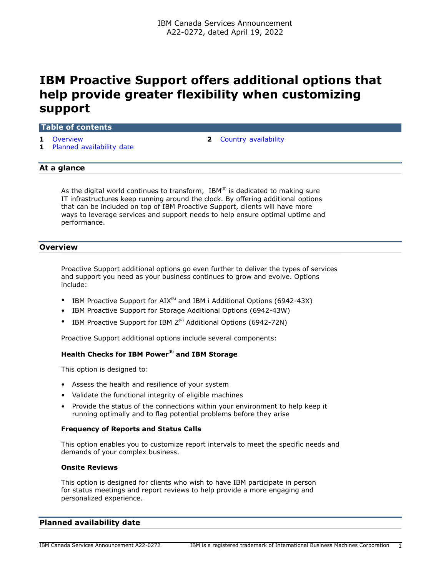# **IBM Proactive Support offers additional options that help provide greater flexibility when customizing support**

#### **Table of contents**

- 
- **1** [Planned availability date](#page-0-1)
- **1** [Overview](#page-0-0) **2** [Country availability](#page-1-0)

# **At a glance**

As the digital world continues to transform,  $IBM^{(R)}$  is dedicated to making sure IT infrastructures keep running around the clock. By offering additional options that can be included on top of IBM Proactive Support, clients will have more ways to leverage services and support needs to help ensure optimal uptime and performance.

# <span id="page-0-0"></span>**Overview**

Proactive Support additional options go even further to deliver the types of services and support you need as your business continues to grow and evolve. Options include:

- IBM Proactive Support for  $AIX^{(R)}$  and IBM i Additional Options (6942-43X)
- IBM Proactive Support for Storage Additional Options (6942-43W)
- IBM Proactive Support for IBM  $Z^{(R)}$  Additional Options (6942-72N)

Proactive Support additional options include several components:

# **Health Checks for IBM Power(R) and IBM Storage**

This option is designed to:

- Assess the health and resilience of your system
- Validate the functional integrity of eligible machines
- Provide the status of the connections within your environment to help keep it running optimally and to flag potential problems before they arise

#### **Frequency of Reports and Status Calls**

This option enables you to customize report intervals to meet the specific needs and demands of your complex business.

#### **Onsite Reviews**

This option is designed for clients who wish to have IBM participate in person for status meetings and report reviews to help provide a more engaging and personalized experience.

## <span id="page-0-1"></span>**Planned availability date**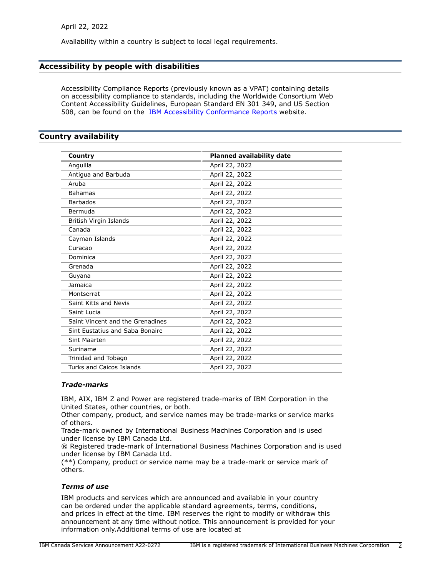Availability within a country is subject to local legal requirements.

# **Accessibility by people with disabilities**

Accessibility Compliance Reports (previously known as a VPAT) containing details on accessibility compliance to standards, including the Worldwide Consortium Web Content Accessibility Guidelines, European Standard EN 301 349, and US Section 508, can be found on the [IBM Accessibility Conformance Reports](https://able.ibm.com/request/) website.

# <span id="page-1-0"></span>**Country availability**

| Country                          | <b>Planned availability date</b> |
|----------------------------------|----------------------------------|
| Anguilla                         | April 22, 2022                   |
| Antigua and Barbuda              | April 22, 2022                   |
| Aruba                            | April 22, 2022                   |
| <b>Bahamas</b>                   | April 22, 2022                   |
| <b>Barbados</b>                  | April 22, 2022                   |
| Bermuda                          | April 22, 2022                   |
| British Virgin Islands           | April 22, 2022                   |
| Canada                           | April 22, 2022                   |
| Cayman Islands                   | April 22, 2022                   |
| Curacao                          | April 22, 2022                   |
| Dominica                         | April 22, 2022                   |
| Grenada                          | April 22, 2022                   |
| Guyana                           | April 22, 2022                   |
| Jamaica                          | April 22, 2022                   |
| Montserrat                       | April 22, 2022                   |
| Saint Kitts and Nevis            | April 22, 2022                   |
| Saint Lucia                      | April 22, 2022                   |
| Saint Vincent and the Grenadines | April 22, 2022                   |
| Sint Eustatius and Saba Bonaire  | April 22, 2022                   |
| <b>Sint Maarten</b>              | April 22, 2022                   |
| Suriname                         | April 22, 2022                   |
| Trinidad and Tobago              | April 22, 2022                   |
| Turks and Caicos Islands         | April 22, 2022                   |

### *Trade-marks*

IBM, AIX, IBM Z and Power are registered trade-marks of IBM Corporation in the United States, other countries, or both.

Other company, product, and service names may be trade-marks or service marks of others.

Trade-mark owned by International Business Machines Corporation and is used under license by IBM Canada Ltd.

® Registered trade-mark of International Business Machines Corporation and is used under license by IBM Canada Ltd.

(\*\*) Company, product or service name may be a trade-mark or service mark of others.

#### *Terms of use*

IBM products and services which are announced and available in your country can be ordered under the applicable standard agreements, terms, conditions, and prices in effect at the time. IBM reserves the right to modify or withdraw this announcement at any time without notice. This announcement is provided for your information only.Additional terms of use are located at